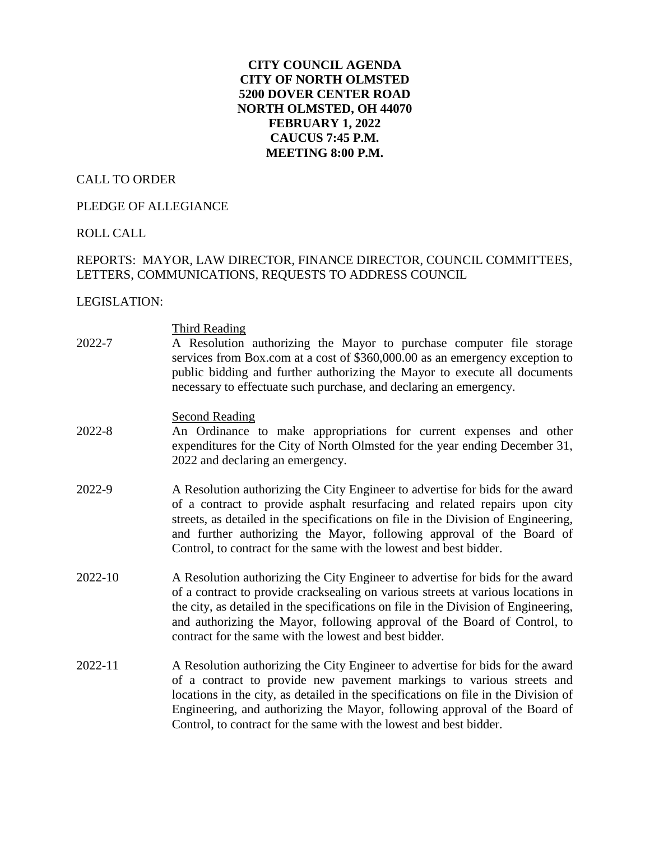## **CITY COUNCIL AGENDA CITY OF NORTH OLMSTED 5200 DOVER CENTER ROAD NORTH OLMSTED, OH 44070 FEBRUARY 1, 2022 CAUCUS 7:45 P.M. MEETING 8:00 P.M.**

#### CALL TO ORDER

### PLEDGE OF ALLEGIANCE

# ROLL CALL

# REPORTS: MAYOR, LAW DIRECTOR, FINANCE DIRECTOR, COUNCIL COMMITTEES, LETTERS, COMMUNICATIONS, REQUESTS TO ADDRESS COUNCIL

#### LEGISLATION:

| 2022-7  | Third Reading<br>A Resolution authorizing the Mayor to purchase computer file storage<br>services from Box.com at a cost of \$360,000.00 as an emergency exception to<br>public bidding and further authorizing the Mayor to execute all documents<br>necessary to effectuate such purchase, and declaring an emergency.                                                                           |
|---------|----------------------------------------------------------------------------------------------------------------------------------------------------------------------------------------------------------------------------------------------------------------------------------------------------------------------------------------------------------------------------------------------------|
| 2022-8  | <b>Second Reading</b><br>An Ordinance to make appropriations for current expenses and other<br>expenditures for the City of North Olmsted for the year ending December 31,<br>2022 and declaring an emergency.                                                                                                                                                                                     |
| 2022-9  | A Resolution authorizing the City Engineer to advertise for bids for the award<br>of a contract to provide asphalt resurfacing and related repairs upon city<br>streets, as detailed in the specifications on file in the Division of Engineering,<br>and further authorizing the Mayor, following approval of the Board of<br>Control, to contract for the same with the lowest and best bidder.  |
| 2022-10 | A Resolution authorizing the City Engineer to advertise for bids for the award<br>of a contract to provide cracksealing on various streets at various locations in<br>the city, as detailed in the specifications on file in the Division of Engineering,<br>and authorizing the Mayor, following approval of the Board of Control, to<br>contract for the same with the lowest and best bidder.   |
| 2022-11 | A Resolution authorizing the City Engineer to advertise for bids for the award<br>of a contract to provide new pavement markings to various streets and<br>locations in the city, as detailed in the specifications on file in the Division of<br>Engineering, and authorizing the Mayor, following approval of the Board of<br>Control, to contract for the same with the lowest and best bidder. |